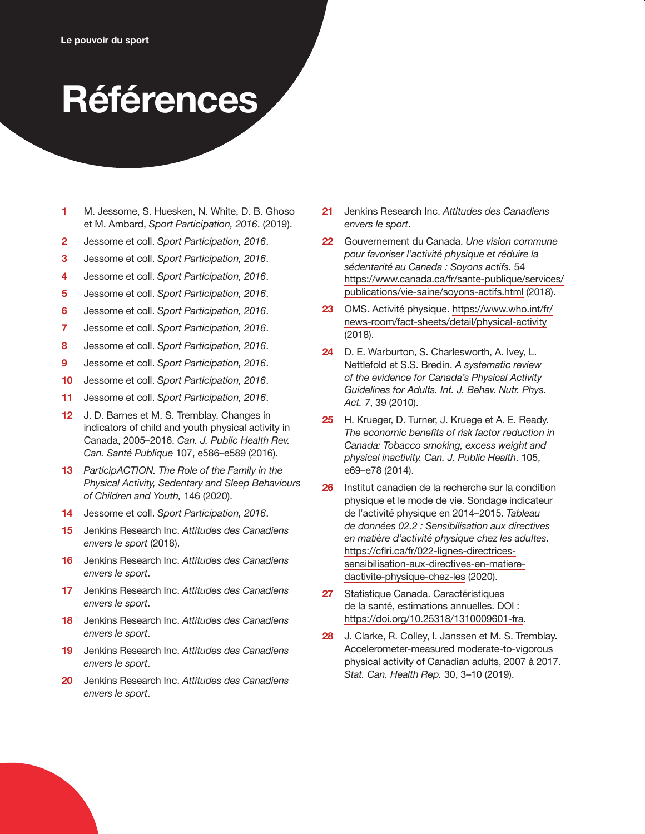## **Références**

- **1** M. Jessome, S. Huesken, N. White, D. B. Ghoso et M. Ambard, Sport Participation, 2016. (2019).
- **2** Jessome et coll. Sport Participation, 2016.
- **3** Jessome et coll. Sport Participation, 2016.
- **4** Jessome et coll. Sport Participation, 2016.
- **5** Jessome et coll. Sport Participation, 2016.
- **6** Jessome et coll. Sport Participation, 2016.
- **7** Jessome et coll. Sport Participation, 2016.
- **8** Jessome et coll. Sport Participation, 2016.
- **9** Jessome et coll. Sport Participation, 2016.
- **10** Jessome et coll. Sport Participation, 2016.
- **11** Jessome et coll. Sport Participation, 2016.
- **12** J. D. Barnes et M. S. Tremblay. Changes in indicators of child and youth physical activity in Canada, 2005–2016. Can. J. Public Health Rev. Can. Santé Publique 107, e586–e589 (2016).
- **13** ParticipACTION. The Role of the Family in the Physical Activity, Sedentary and Sleep Behaviours of Children and Youth, 146 (2020).
- **14** Jessome et coll. Sport Participation, 2016.
- **15** Jenkins Research Inc. Attitudes des Canadiens envers le sport (2018).
- **16** Jenkins Research Inc. Attitudes des Canadiens envers le sport.
- **17** Jenkins Research Inc. Attitudes des Canadiens envers le sport.
- **18** Jenkins Research Inc. Attitudes des Canadiens envers le sport.
- **19** Jenkins Research Inc. Attitudes des Canadiens envers le sport.
- **20** Jenkins Research Inc. Attitudes des Canadiens envers le sport.
- 21 Jenkins Research Inc. Attitudes des Canadiens envers le sport.
- **22** Gouvernement du Canada. Une vision commune pour favoriser l'activité physique et réduire la sédentarité au Canada : Soyons actifs. 54 https://www.canada.ca/fr/sante-publique/services/ publications/vie-saine/soyons-actifs.html (2018).
- **23** OMS. Activité physique. https://www.who.int/fr/ news-room/fact-sheets/detail/physical-activity (2018).
- **24** D. E. Warburton, S. Charlesworth, A. Ivey, L. Nettlefold et S.S. Bredin. A systematic review of the evidence for Canada's Physical Activity Guidelines for Adults. Int. J. Behav. Nutr. Phys. Act. 7, 39 (2010).
- **25** H. Krueger, D. Turner, J. Kruege et A. E. Ready. The economic benefits of risk factor reduction in Canada: Tobacco smoking, excess weight and physical inactivity. Can. J. Public Health. 105, e69–e78 (2014).
- **26** Institut canadien de la recherche sur la condition physique et le mode de vie. Sondage indicateur de l'activité physique en 2014–2015. Tableau de données 02.2 : Sensibilisation aux directives en matière d'activité physique chez les adultes. https://cflri.ca/fr/022-lignes-directricessensibilisation-aux-directives-en-matieredactivite-physique-chez-les (2020).
- **27** Statistique Canada. Caractéristiques de la santé, estimations annuelles. DOI : https://doi.org/10.25318/1310009601-fra.
- **28** J. Clarke, R. Colley, I. Janssen et M. S. Tremblay. Accelerometer-measured moderate-to-vigorous physical activity of Canadian adults, 2007 à 2017. Stat. Can. Health Rep. 30, 3–10 (2019).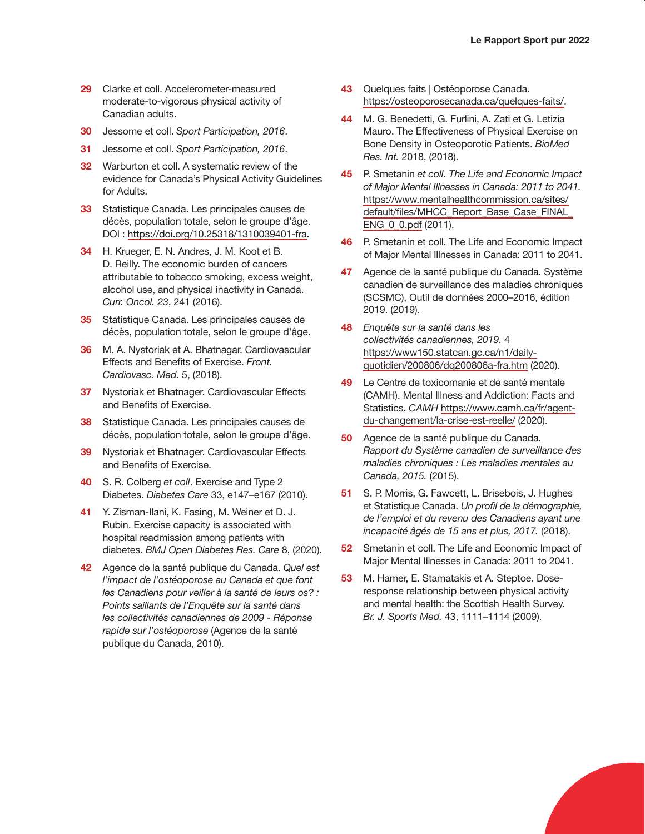- **29** Clarke et coll. Accelerometer-measured moderate-to-vigorous physical activity of Canadian adults.
- **30** Jessome et coll. Sport Participation, 2016.
- **31** Jessome et coll. Sport Participation, 2016.
- **32** Warburton et coll. A systematic review of the evidence for Canada's Physical Activity Guidelines for Adults.
- **33** Statistique Canada. Les principales causes de décès, population totale, selon le groupe d'âge. DOI : https://doi.org/10.25318/1310039401-fra.
- **34** H. Krueger, E. N. Andres, J. M. Koot et B. D. Reilly. The economic burden of cancers attributable to tobacco smoking, excess weight, alcohol use, and physical inactivity in Canada. Curr. Oncol. 23, 241 (2016).
- **35** Statistique Canada. Les principales causes de décès, population totale, selon le groupe d'âge.
- **36** M. A. Nystoriak et A. Bhatnagar. Cardiovascular Effects and Benefits of Exercise. Front. Cardiovasc. Med. 5, (2018).
- **37** Nystoriak et Bhatnager. Cardiovascular Effects and Benefits of Exercise.
- **38** Statistique Canada. Les principales causes de décès, population totale, selon le groupe d'âge.
- **39** Nystoriak et Bhatnager. Cardiovascular Effects and Benefits of Exercise.
- **40** S. R. Colberg et coll. Exercise and Type 2 Diabetes. Diabetes Care 33, e147–e167 (2010).
- **41** Y. Zisman-Ilani, K. Fasing, M. Weiner et D. J. Rubin. Exercise capacity is associated with hospital readmission among patients with diabetes. BMJ Open Diabetes Res. Care 8, (2020).
- **42** Agence de la santé publique du Canada. Quel est l'impact de l'ostéoporose au Canada et que font les Canadiens pour veiller à la santé de leurs os? : Points saillants de l'Enquête sur la santé dans les collectivités canadiennes de 2009 - Réponse rapide sur l'ostéoporose (Agence de la santé publique du Canada, 2010).
- **43** Quelques faits | Ostéoporose Canada. https://osteoporosecanada.ca/quelques-faits/.
- **44** M. G. Benedetti, G. Furlini, A. Zati et G. Letizia Mauro. The Effectiveness of Physical Exercise on Bone Density in Osteoporotic Patients. BioMed Res. Int. 2018, (2018).
- **45** P. Smetanin et coll. The Life and Economic Impact of Major Mental Illnesses in Canada: 2011 to 2041. https://www.mentalhealthcommission.ca/sites/ default/files/MHCC\_Report\_Base\_Case\_FINAL ENG\_0\_0.pdf (2011).
- **46** P. Smetanin et coll. The Life and Economic Impact of Major Mental Illnesses in Canada: 2011 to 2041.
- **47** Agence de la santé publique du Canada. Système canadien de surveillance des maladies chroniques (SCSMC), Outil de données 2000–2016, édition 2019. (2019).
- **48** Enquête sur la santé dans les collectivités canadiennes, 2019. 4 https://www150.statcan.gc.ca/n1/dailyquotidien/200806/dq200806a-fra.htm (2020).
- **49** Le Centre de toxicomanie et de santé mentale (CAMH). Mental Illness and Addiction: Facts and Statistics. CAMH https://www.camh.ca/fr/agentdu-changement/la-crise-est-reelle/ (2020).
- **50** Agence de la santé publique du Canada. Rapport du Système canadien de surveillance des maladies chroniques : Les maladies mentales au Canada, 2015. (2015).
- **51** S. P. Morris, G. Fawcett, L. Brisebois, J. Hughes et Statistique Canada. Un profil de la démographie, de l'emploi et du revenu des Canadiens ayant une incapacité âgés de 15 ans et plus, 2017. (2018).
- **52** Smetanin et coll. The Life and Economic Impact of Major Mental Illnesses in Canada: 2011 to 2041.
- **53** M. Hamer, E. Stamatakis et A. Steptoe. Doseresponse relationship between physical activity and mental health: the Scottish Health Survey. Br. J. Sports Med. 43, 1111–1114 (2009).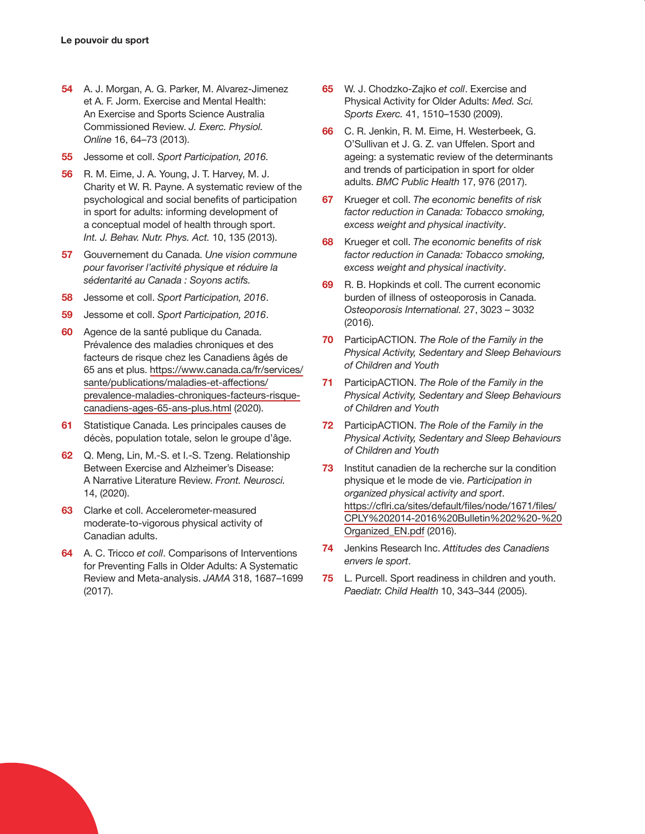- **54** A. J. Morgan, A. G. Parker, M. Alvarez-Jimenez et A. F. Jorm. Exercise and Mental Health: An Exercise and Sports Science Australia Commissioned Review. J. Exerc. Physiol. Online 16, 64–73 (2013).
- **55** Jessome et coll. Sport Participation, 2016.
- **56** R. M. Eime, J. A. Young, J. T. Harvey, M. J. Charity et W. R. Payne. A systematic review of the psychological and social benefits of participation in sport for adults: informing development of a conceptual model of health through sport. Int. J. Behav. Nutr. Phys. Act. 10, 135 (2013).
- **57** Gouvernement du Canada. Une vision commune pour favoriser l'activité physique et réduire la sédentarité au Canada : Soyons actifs.
- **58** Jessome et coll. Sport Participation, 2016.
- **59** Jessome et coll. Sport Participation, 2016.
- **60** Agence de la santé publique du Canada. Prévalence des maladies chroniques et des facteurs de risque chez les Canadiens âgés de 65 ans et plus. https://www.canada.ca/fr/services/ sante/publications/maladies-et-affections/ prevalence-maladies-chroniques-facteurs-risquecanadiens-ages-65-ans-plus.html (2020).
- **61** Statistique Canada. Les principales causes de décès, population totale, selon le groupe d'âge.
- **62** Q. Meng, Lin, M.-S. et I.-S. Tzeng. Relationship Between Exercise and Alzheimer's Disease: A Narrative Literature Review. Front. Neurosci. 14, (2020).
- **63** Clarke et coll. Accelerometer-measured moderate-to-vigorous physical activity of Canadian adults.
- **64** A. C. Tricco et coll. Comparisons of Interventions for Preventing Falls in Older Adults: A Systematic Review and Meta-analysis. JAMA 318, 1687–1699 (2017).
- **65** W. J. Chodzko-Zajko et coll. Exercise and Physical Activity for Older Adults: Med. Sci. Sports Exerc. 41, 1510–1530 (2009).
- **66** C. R. Jenkin, R. M. Eime, H. Westerbeek, G. O'Sullivan et J. G. Z. van Uffelen. Sport and ageing: a systematic review of the determinants and trends of participation in sport for older adults. BMC Public Health 17, 976 (2017).
- **67** Krueger et coll. The economic benefits of risk factor reduction in Canada: Tobacco smoking, excess weight and physical inactivity.
- **68** Krueger et coll. The economic benefits of risk factor reduction in Canada: Tobacco smoking, excess weight and physical inactivity.
- **69** R. B. Hopkinds et coll. The current economic burden of illness of osteoporosis in Canada. Osteoporosis International. 27, 3023 – 3032 (2016).
- **70** ParticipACTION. The Role of the Family in the Physical Activity, Sedentary and Sleep Behaviours of Children and Youth
- **71** ParticipACTION. The Role of the Family in the Physical Activity, Sedentary and Sleep Behaviours of Children and Youth
- **72** ParticipACTION. The Role of the Family in the Physical Activity, Sedentary and Sleep Behaviours of Children and Youth
- **73** Institut canadien de la recherche sur la condition physique et le mode de vie. Participation in organized physical activity and sport. https://cflri.ca/sites/default/files/node/1671/files/ CPLY%202014-2016%20Bulletin%202%20-%20 Organized\_EN.pdf (2016).
- **74** Jenkins Research Inc. Attitudes des Canadiens envers le sport.
- **75** L. Purcell. Sport readiness in children and youth. Paediatr. Child Health 10, 343–344 (2005).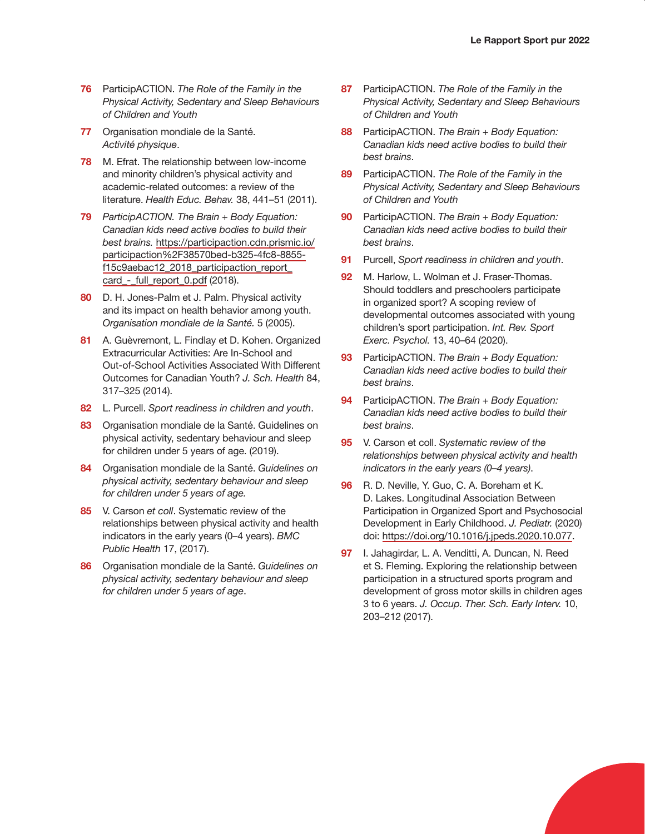- **76** ParticipACTION. The Role of the Family in the Physical Activity, Sedentary and Sleep Behaviours of Children and Youth
- **77** Organisation mondiale de la Santé. Activité physique.
- **78** M. Efrat. The relationship between low-income and minority children's physical activity and academic-related outcomes: a review of the literature. Health Educ. Behav. 38, 441-51 (2011).
- **79** ParticipACTION. The Brain + Body Equation: Canadian kids need active bodies to build their best brains. https://participaction.cdn.prismic.io/ participaction%2F38570bed-b325-4fc8-8855 f15c9aebac12\_2018\_participaction\_report card\_-\_full\_report\_0.pdf (2018).
- **80** D. H. Jones-Palm et J. Palm. Physical activity and its impact on health behavior among youth. Organisation mondiale de la Santé. 5 (2005).
- **81** A. Guèvremont, L. Findlay et D. Kohen. Organized Extracurricular Activities: Are In-School and Out-of-School Activities Associated With Different Outcomes for Canadian Youth? J. Sch. Health 84, 317–325 (2014).
- **82** L. Purcell. Sport readiness in children and youth.
- **83** Organisation mondiale de la Santé. Guidelines on physical activity, sedentary behaviour and sleep for children under 5 years of age. (2019).
- **84** Organisation mondiale de la Santé. Guidelines on physical activity, sedentary behaviour and sleep for children under 5 years of age.
- **85** V. Carson et coll. Systematic review of the relationships between physical activity and health indicators in the early years (0–4 years). BMC Public Health 17, (2017).
- **86** Organisation mondiale de la Santé. Guidelines on physical activity, sedentary behaviour and sleep for children under 5 years of age.
- **87** ParticipACTION. The Role of the Family in the Physical Activity, Sedentary and Sleep Behaviours of Children and Youth
- **88** ParticipACTION. The Brain + Body Equation: Canadian kids need active bodies to build their best brains.
- **89** ParticipACTION. The Role of the Family in the Physical Activity, Sedentary and Sleep Behaviours of Children and Youth
- **90** ParticipACTION. The Brain + Body Equation: Canadian kids need active bodies to build their best brains.
- **91** Purcell, Sport readiness in children and youth.
- **92** M. Harlow, L. Wolman et J. Fraser-Thomas. Should toddlers and preschoolers participate in organized sport? A scoping review of developmental outcomes associated with young children's sport participation. Int. Rev. Sport Exerc. Psychol. 13, 40–64 (2020).
- **93** ParticipACTION. The Brain + Body Equation: Canadian kids need active bodies to build their best brains.
- **94** ParticipACTION. The Brain + Body Equation: Canadian kids need active bodies to build their best brains.
- **95** V. Carson et coll. Systematic review of the relationships between physical activity and health indicators in the early years (0–4 years).
- **96** R. D. Neville, Y. Guo, C. A. Boreham et K. D. Lakes. Longitudinal Association Between Participation in Organized Sport and Psychosocial Development in Early Childhood. J. Pediatr. (2020) doi: https://doi.org/10.1016/j.jpeds.2020.10.077.
- **97** I. Jahagirdar, L. A. Venditti, A. Duncan, N. Reed et S. Fleming. Exploring the relationship between participation in a structured sports program and development of gross motor skills in children ages 3 to 6 years. J. Occup. Ther. Sch. Early Interv. 10, 203–212 (2017).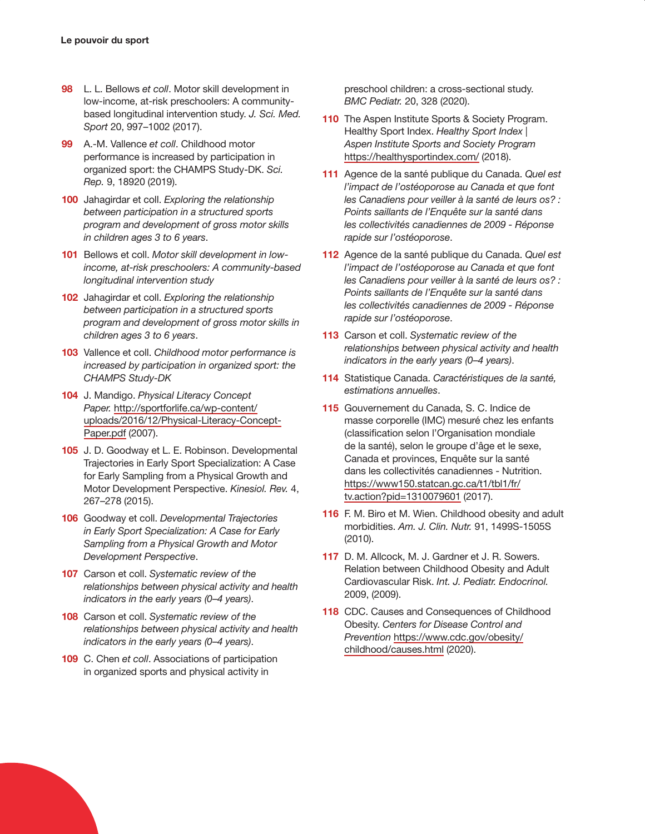- **98** L. L. Bellows et coll. Motor skill development in low-income, at-risk preschoolers: A communitybased longitudinal intervention study. J. Sci. Med. Sport 20, 997–1002 (2017).
- **99** A.-M. Vallence et coll. Childhood motor performance is increased by participation in organized sport: the CHAMPS Study-DK. Sci. Rep. 9, 18920 (2019).
- **100** Jahagirdar et coll. Exploring the relationship between participation in a structured sports program and development of gross motor skills in children ages 3 to 6 years.
- **101** Bellows et coll. Motor skill development in lowincome, at-risk preschoolers: A community-based longitudinal intervention study
- **102** Jahagirdar et coll. Exploring the relationship between participation in a structured sports program and development of gross motor skills in children ages 3 to 6 years.
- **103** Vallence et coll. Childhood motor performance is increased by participation in organized sport: the CHAMPS Study-DK
- **104** J. Mandigo. Physical Literacy Concept Paper. http://sportforlife.ca/wp-content/ uploads/2016/12/Physical-Literacy-Concept-Paper.pdf (2007).
- **105** J. D. Goodway et L. E. Robinson. Developmental Trajectories in Early Sport Specialization: A Case for Early Sampling from a Physical Growth and Motor Development Perspective. Kinesiol. Rev. 4, 267–278 (2015).
- **106** Goodway et coll. Developmental Trajectories in Early Sport Specialization: A Case for Early Sampling from a Physical Growth and Motor Development Perspective.
- **107** Carson et coll. Systematic review of the relationships between physical activity and health indicators in the early years (0–4 years).
- **108** Carson et coll. Systematic review of the relationships between physical activity and health indicators in the early years (0–4 years).
- **109** C. Chen et coll. Associations of participation in organized sports and physical activity in

preschool children: a cross-sectional study. BMC Pediatr. 20, 328 (2020).

- **110** The Aspen Institute Sports & Society Program. Healthy Sport Index. Healthy Sport Index | Aspen Institute Sports and Society Program https://healthysportindex.com/ (2018).
- **111** Agence de la santé publique du Canada. Quel est l'impact de l'ostéoporose au Canada et que font les Canadiens pour veiller à la santé de leurs os? : Points saillants de l'Enquête sur la santé dans les collectivités canadiennes de 2009 - Réponse rapide sur l'ostéoporose.
- **112** Agence de la santé publique du Canada. Quel est l'impact de l'ostéoporose au Canada et que font les Canadiens pour veiller à la santé de leurs os? : Points saillants de l'Enquête sur la santé dans les collectivités canadiennes de 2009 - Réponse rapide sur l'ostéoporose.
- **113** Carson et coll. Systematic review of the relationships between physical activity and health indicators in the early years (0–4 years).
- **114** Statistique Canada. Caractéristiques de la santé, estimations annuelles.
- **115** Gouvernement du Canada, S. C. Indice de masse corporelle (IMC) mesuré chez les enfants (classification selon l'Organisation mondiale de la santé), selon le groupe d'âge et le sexe, Canada et provinces, Enquête sur la santé dans les collectivités canadiennes - Nutrition. https://www150.statcan.gc.ca/t1/tbl1/fr/ tv.action?pid=1310079601 (2017).
- **116** F. M. Biro et M. Wien. Childhood obesity and adult morbidities. Am. J. Clin. Nutr. 91, 1499S-1505S (2010).
- **117** D. M. Allcock, M. J. Gardner et J. R. Sowers. Relation between Childhood Obesity and Adult Cardiovascular Risk. Int. J. Pediatr. Endocrinol. 2009, (2009).
- **118** CDC. Causes and Consequences of Childhood Obesity. Centers for Disease Control and Prevention https://www.cdc.gov/obesity/ childhood/causes.html (2020).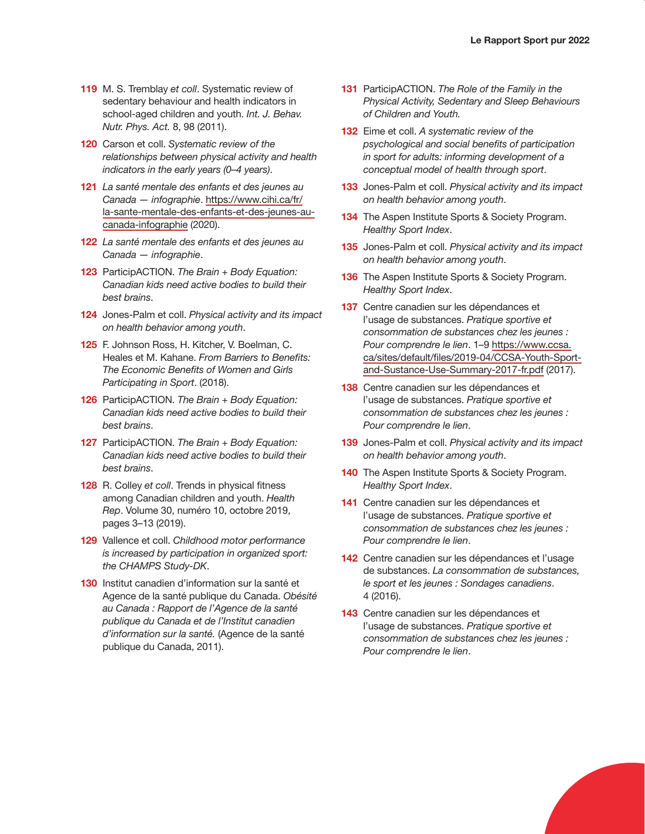- **119** M. S. Tremblay et coll. Systematic review of sedentary behaviour and health indicators in school-aged children and youth. Int. J. Behav. Nutr. Phys. Act. 8, 98 (2011).
- **120** Carson et coll. Systematic review of the relationships between physical activity and health indicators in the early years (0–4 years).
- **121** La santé mentale des enfants et des jeunes au Canada — infographie. https://www.cihi.ca/fr/ la-sante-mentale-des-enfants-et-des-jeunes-aucanada-infographie (2020).
- **122** La santé mentale des enfants et des jeunes au Canada — infographie.
- **123** ParticipACTION. The Brain + Body Equation: Canadian kids need active bodies to build their best brains.
- **124** Jones-Palm et coll. Physical activity and its impact on health behavior among youth.
- **125** F. Johnson Ross, H. Kitcher, V. Boelman, C. Heales et M. Kahane. From Barriers to Benefits: The Economic Benefits of Women and Girls Participating in Sport. (2018).
- **126** ParticipACTION. The Brain + Body Equation: Canadian kids need active bodies to build their best brains.
- **127** ParticipACTION. The Brain + Body Equation: Canadian kids need active bodies to build their best brains.
- **128** R. Colley et coll. Trends in physical fitness among Canadian children and youth. Health Rep. Volume 30, numéro 10, octobre 2019, pages 3–13 (2019).
- **129** Vallence et coll. Childhood motor performance is increased by participation in organized sport: the CHAMPS Study-DK.
- **130** Institut canadien d'information sur la santé et Agence de la santé publique du Canada. Obésité au Canada : Rapport de l'Agence de la santé publique du Canada et de l'Institut canadien d'information sur la santé. (Agence de la santé publique du Canada, 2011).
- **131** ParticipACTION. The Role of the Family in the Physical Activity, Sedentary and Sleep Behaviours of Children and Youth.
- **132** Eime et coll. A systematic review of the psychological and social benefits of participation in sport for adults: informing development of a conceptual model of health through sport.
- **133** Jones-Palm et coll. Physical activity and its impact on health behavior among youth.
- **134** The Aspen Institute Sports & Society Program. Healthy Sport Index.
- **135** Jones-Palm et coll. Physical activity and its impact on health behavior among youth.
- **136** The Aspen Institute Sports & Society Program. Healthy Sport Index.
- **137** Centre canadien sur les dépendances et l'usage de substances. Pratique sportive et consommation de substances chez les jeunes : Pour comprendre le lien. 1–9 https://www.ccsa. ca/sites/default/files/2019-04/CCSA-Youth-Sportand-Sustance-Use-Summary-2017-fr.pdf (2017).
- **138** Centre canadien sur les dépendances et l'usage de substances. Pratique sportive et consommation de substances chez les jeunes : Pour comprendre le lien.
- **139** Jones-Palm et coll. Physical activity and its impact on health behavior among youth.
- **140** The Aspen Institute Sports & Society Program. Healthy Sport Index.
- **141** Centre canadien sur les dépendances et l'usage de substances. Pratique sportive et consommation de substances chez les jeunes : Pour comprendre le lien.
- **142** Centre canadien sur les dépendances et l'usage de substances. La consommation de substances, le sport et les jeunes : Sondages canadiens. 4 (2016).
- **143** Centre canadien sur les dépendances et l'usage de substances. Pratique sportive et consommation de substances chez les jeunes : Pour comprendre le lien.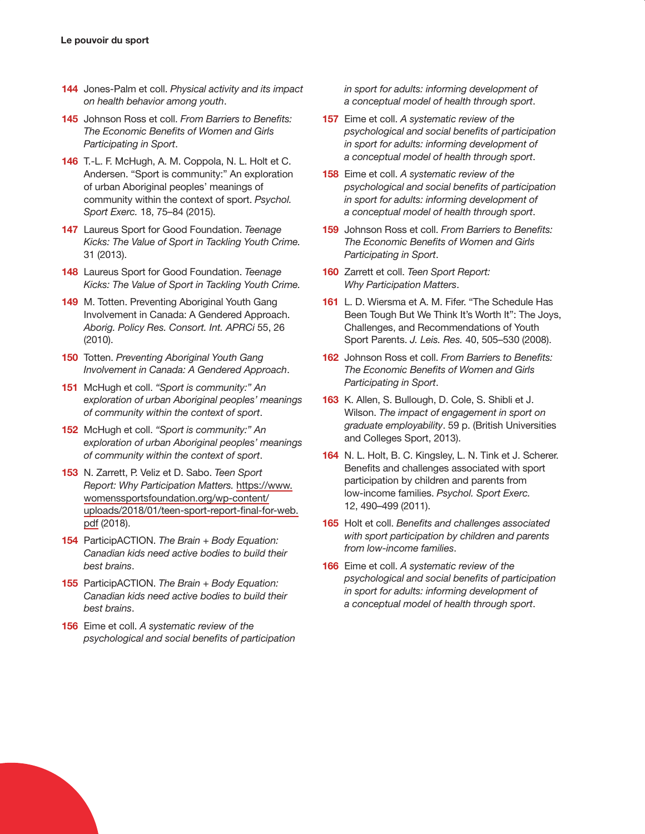- **144** Jones-Palm et coll. Physical activity and its impact on health behavior among youth.
- **145** Johnson Ross et coll. From Barriers to Benefits: The Economic Benefits of Women and Girls Participating in Sport.
- **146** T.-L. F. McHugh, A. M. Coppola, N. L. Holt et C. Andersen. "Sport is community:" An exploration of urban Aboriginal peoples' meanings of community within the context of sport. Psychol. Sport Exerc. 18, 75–84 (2015).
- **147** Laureus Sport for Good Foundation. Teenage Kicks: The Value of Sport in Tackling Youth Crime. 31 (2013).
- **148** Laureus Sport for Good Foundation. Teenage Kicks: The Value of Sport in Tackling Youth Crime.
- **149** M. Totten. Preventing Aboriginal Youth Gang Involvement in Canada: A Gendered Approach. Aborig. Policy Res. Consort. Int. APRCi 55, 26 (2010).
- **150** Totten. Preventing Aboriginal Youth Gang Involvement in Canada: A Gendered Approach.
- 151 McHugh et coll. "Sport is community:" An exploration of urban Aboriginal peoples' meanings of community within the context of sport.
- **152** McHugh et coll. "Sport is community:" An exploration of urban Aboriginal peoples' meanings of community within the context of sport.
- **153** N. Zarrett, P. Veliz et D. Sabo. Teen Sport Report: Why Participation Matters. https://www. womenssportsfoundation.org/wp-content/ uploads/2018/01/teen-sport-report-final-for-web. pdf (2018).
- **154** ParticipACTION. The Brain + Body Equation: Canadian kids need active bodies to build their best brains.
- **155** ParticipACTION. The Brain + Body Equation: Canadian kids need active bodies to build their best brains.
- **156** Eime et coll. A systematic review of the psychological and social benefits of participation

in sport for adults: informing development of a conceptual model of health through sport.

- **157** Eime et coll. A systematic review of the psychological and social benefits of participation in sport for adults: informing development of a conceptual model of health through sport.
- **158** Eime et coll. A systematic review of the psychological and social benefits of participation in sport for adults: informing development of a conceptual model of health through sport.
- **159** Johnson Ross et coll. From Barriers to Benefits: The Economic Benefits of Women and Girls Participating in Sport.
- **160** Zarrett et coll. Teen Sport Report: Why Participation Matters.
- **161** L. D. Wiersma et A. M. Fifer. "The Schedule Has Been Tough But We Think It's Worth It": The Joys, Challenges, and Recommendations of Youth Sport Parents. J. Leis. Res. 40, 505–530 (2008).
- **162** Johnson Ross et coll. From Barriers to Benefits: The Economic Benefits of Women and Girls Participating in Sport.
- **163** K. Allen, S. Bullough, D. Cole, S. Shibli et J. Wilson. The impact of engagement in sport on graduate employability. 59 p. (British Universities and Colleges Sport, 2013).
- **164** N. L. Holt, B. C. Kingsley, L. N. Tink et J. Scherer. Benefits and challenges associated with sport participation by children and parents from low-income families. Psychol. Sport Exerc. 12, 490–499 (2011).
- **165** Holt et coll. Benefits and challenges associated with sport participation by children and parents from low-income families.
- **166** Eime et coll. A systematic review of the psychological and social benefits of participation in sport for adults: informing development of a conceptual model of health through sport.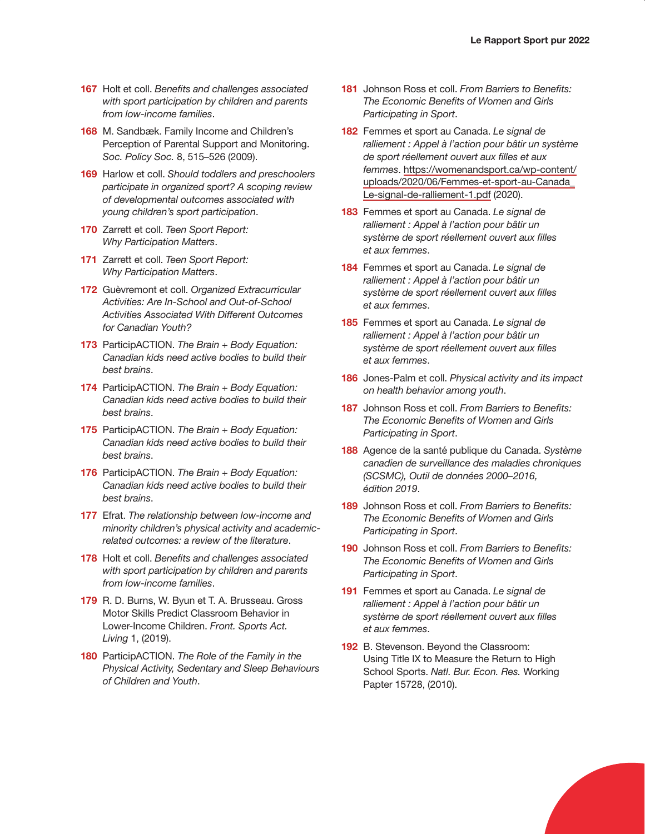- **167** Holt et coll. Benefits and challenges associated with sport participation by children and parents from low-income families.
- **168** M. Sandbæk. Family Income and Children's Perception of Parental Support and Monitoring. Soc. Policy Soc. 8, 515–526 (2009).
- **169** Harlow et coll. Should toddlers and preschoolers participate in organized sport? A scoping review of developmental outcomes associated with young children's sport participation.
- **170** Zarrett et coll. Teen Sport Report: Why Participation Matters.
- 171 Zarrett et coll. Teen Sport Report: Why Participation Matters.
- **172** Guèvremont et coll. Organized Extracurricular Activities: Are In-School and Out-of-School Activities Associated With Different Outcomes for Canadian Youth?
- **173** ParticipACTION. The Brain + Body Equation: Canadian kids need active bodies to build their best brains.
- **174** ParticipACTION. The Brain + Body Equation: Canadian kids need active bodies to build their best brains.
- **175** ParticipACTION. The Brain + Body Equation: Canadian kids need active bodies to build their best brains.
- **176** ParticipACTION. The Brain + Body Equation: Canadian kids need active bodies to build their best brains.
- **177** Efrat. The relationship between low-income and minority children's physical activity and academicrelated outcomes: a review of the literature.
- **178** Holt et coll. Benefits and challenges associated with sport participation by children and parents from low-income families.
- **179** R. D. Burns, W. Byun et T. A. Brusseau. Gross Motor Skills Predict Classroom Behavior in Lower-Income Children. Front. Sports Act. Living 1, (2019).
- **180** ParticipACTION. The Role of the Family in the Physical Activity, Sedentary and Sleep Behaviours of Children and Youth.
- **181** Johnson Ross et coll. From Barriers to Benefits: The Economic Benefits of Women and Girls Participating in Sport.
- **182** Femmes et sport au Canada. Le signal de ralliement : Appel à l'action pour bâtir un système de sport réellement ouvert aux filles et aux femmes. https://womenandsport.ca/wp-content/ uploads/2020/06/Femmes-et-sport-au-Canada\_ Le-signal-de-ralliement-1.pdf (2020).
- **183** Femmes et sport au Canada. Le signal de ralliement : Appel à l'action pour bâtir un système de sport réellement ouvert aux filles et aux femmes.
- **184** Femmes et sport au Canada. Le signal de ralliement : Appel à l'action pour bâtir un système de sport réellement ouvert aux filles et aux femmes.
- **185** Femmes et sport au Canada. Le signal de ralliement : Appel à l'action pour bâtir un système de sport réellement ouvert aux filles et aux femmes.
- **186** Jones-Palm et coll. Physical activity and its impact on health behavior among youth.
- **187** Johnson Ross et coll. From Barriers to Benefits: The Economic Benefits of Women and Girls Participating in Sport.
- **188** Agence de la santé publique du Canada. Système canadien de surveillance des maladies chroniques (SCSMC), Outil de données 2000–2016, édition 2019.
- **189** Johnson Ross et coll. From Barriers to Benefits: The Economic Benefits of Women and Girls Participating in Sport.
- **190** Johnson Ross et coll. From Barriers to Benefits: The Economic Benefits of Women and Girls Participating in Sport.
- **191** Femmes et sport au Canada. Le signal de ralliement : Appel à l'action pour bâtir un système de sport réellement ouvert aux filles et aux femmes.
- **192** B. Stevenson. Beyond the Classroom: Using Title IX to Measure the Return to High School Sports. Natl. Bur. Econ. Res. Working Papter 15728, (2010).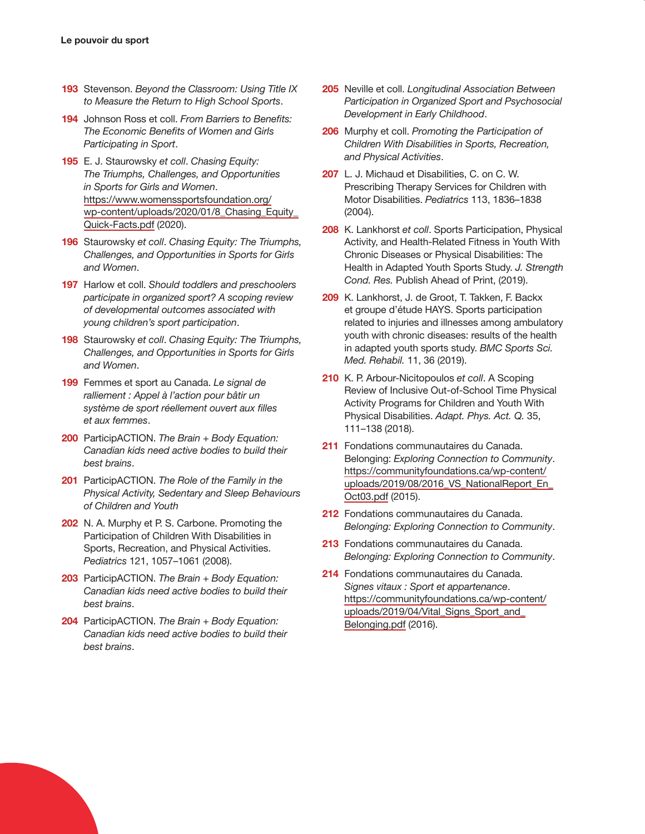- **193** Stevenson. Beyond the Classroom: Using Title IX to Measure the Return to High School Sports.
- **194** Johnson Ross et coll. From Barriers to Benefits: The Economic Benefits of Women and Girls Participating in Sport.
- **195** E. J. Staurowsky et coll. Chasing Equity: The Triumphs, Challenges, and Opportunities in Sports for Girls and Women. https://www.womenssportsfoundation.org/ wp-content/uploads/2020/01/8\_Chasing\_Equity\_ Quick-Facts.pdf (2020).
- **196** Staurowsky et coll. Chasing Equity: The Triumphs, Challenges, and Opportunities in Sports for Girls and Women.
- **197** Harlow et coll. Should toddlers and preschoolers participate in organized sport? A scoping review of developmental outcomes associated with young children's sport participation.
- **198** Staurowsky et coll. Chasing Equity: The Triumphs, Challenges, and Opportunities in Sports for Girls and Women.
- **199** Femmes et sport au Canada. Le signal de ralliement : Appel à l'action pour bâtir un système de sport réellement ouvert aux filles et aux femmes.
- **200** ParticipACTION. The Brain + Body Equation: Canadian kids need active bodies to build their best brains.
- **201** ParticipACTION. The Role of the Family in the Physical Activity, Sedentary and Sleep Behaviours of Children and Youth
- **202** N. A. Murphy et P. S. Carbone. Promoting the Participation of Children With Disabilities in Sports, Recreation, and Physical Activities. Pediatrics 121, 1057–1061 (2008).
- **203** ParticipACTION. The Brain + Body Equation: Canadian kids need active bodies to build their best brains.
- **204** ParticipACTION. The Brain + Body Equation: Canadian kids need active bodies to build their best brains.
- **205** Neville et coll. Longitudinal Association Between Participation in Organized Sport and Psychosocial Development in Early Childhood.
- **206** Murphy et coll. Promoting the Participation of Children With Disabilities in Sports, Recreation, and Physical Activities.
- **207** L. J. Michaud et Disabilities, C. on C. W. Prescribing Therapy Services for Children with Motor Disabilities. Pediatrics 113, 1836–1838 (2004).
- **208** K. Lankhorst et coll. Sports Participation, Physical Activity, and Health-Related Fitness in Youth With Chronic Diseases or Physical Disabilities: The Health in Adapted Youth Sports Study. J. Strength Cond. Res. Publish Ahead of Print, (2019).
- **209** K. Lankhorst, J. de Groot, T. Takken, F. Backx et groupe d'étude HAYS. Sports participation related to injuries and illnesses among ambulatory youth with chronic diseases: results of the health in adapted youth sports study. BMC Sports Sci. Med. Rehabil. 11, 36 (2019).
- 210 K. P. Arbour-Nicitopoulos et coll. A Scoping Review of Inclusive Out-of-School Time Physical Activity Programs for Children and Youth With Physical Disabilities. Adapt. Phys. Act. Q. 35, 111–138 (2018).
- **211** Fondations communautaires du Canada. Belonging: Exploring Connection to Community. https://communityfoundations.ca/wp-content/ uploads/2019/08/2016\_VS\_NationalReport\_En\_ Oct03.pdf (2015).
- **212** Fondations communautaires du Canada. Belonging: Exploring Connection to Community.
- **213** Fondations communautaires du Canada. Belonging: Exploring Connection to Community.
- **214** Fondations communautaires du Canada. Signes vitaux : Sport et appartenance. https://communityfoundations.ca/wp-content/ uploads/2019/04/Vital\_Signs\_Sport\_and\_ Belonging.pdf (2016).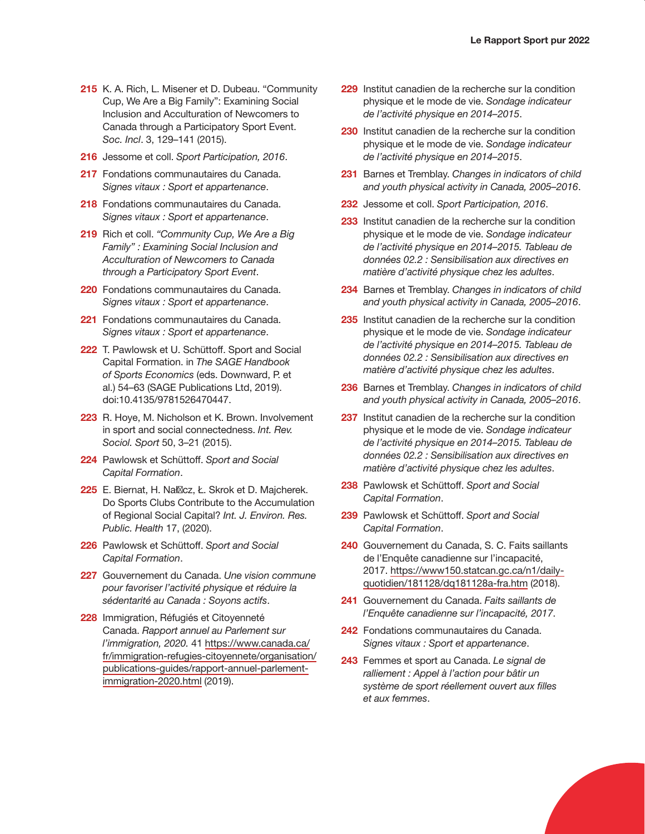- **215** K. A. Rich, L. Misener et D. Dubeau. "Community Cup, We Are a Big Family": Examining Social Inclusion and Acculturation of Newcomers to Canada through a Participatory Sport Event. Soc. Incl. 3, 129–141 (2015).
- **216** Jessome et coll. Sport Participation, 2016.
- **217** Fondations communautaires du Canada. Signes vitaux : Sport et appartenance.
- **218** Fondations communautaires du Canada. Signes vitaux : Sport et appartenance.
- **219** Rich et coll. "Community Cup, We Are a Big Family" : Examining Social Inclusion and Acculturation of Newcomers to Canada through a Participatory Sport Event.
- **220** Fondations communautaires du Canada. Signes vitaux : Sport et appartenance.
- **221** Fondations communautaires du Canada. Signes vitaux : Sport et appartenance.
- **222** T. Pawlowsk et U. Schüttoff. Sport and Social Capital Formation. in The SAGE Handbook of Sports Economics (eds. Downward, P. et al.) 54–63 (SAGE Publications Ltd, 2019). doi:10.4135/9781526470447.
- **223** R. Hoye, M. Nicholson et K. Brown. Involvement in sport and social connectedness. Int. Rev. Sociol. Sport 50, 3–21 (2015).
- **224** Pawlowsk et Schüttoff. Sport and Social Capital Formation.
- **225** E. Biernat, H. Nałcz, Ł. Skrok et D. Majcherek. Do Sports Clubs Contribute to the Accumulation of Regional Social Capital? Int. J. Environ. Res. Public. Health 17, (2020).
- **226** Pawlowsk et Schüttoff. Sport and Social Capital Formation.
- **227** Gouvernement du Canada. Une vision commune pour favoriser l'activité physique et réduire la sédentarité au Canada : Soyons actifs.
- **228** Immigration, Réfugiés et Citoyenneté Canada. Rapport annuel au Parlement sur l'immigration, 2020. 41 https://www.canada.ca/ fr/immigration-refugies-citoyennete/organisation/ publications-guides/rapport-annuel-parlementimmigration-2020.html (2019).
- **229** Institut canadien de la recherche sur la condition physique et le mode de vie. Sondage indicateur de l'activité physique en 2014–2015.
- **230** Institut canadien de la recherche sur la condition physique et le mode de vie. Sondage indicateur de l'activité physique en 2014–2015.
- 231 Barnes et Tremblay. Changes in indicators of child and youth physical activity in Canada, 2005–2016.
- **232** Jessome et coll. Sport Participation, 2016.
- **233** Institut canadien de la recherche sur la condition physique et le mode de vie. Sondage indicateur de l'activité physique en 2014–2015. Tableau de données 02.2 : Sensibilisation aux directives en matière d'activité physique chez les adultes.
- **234** Barnes et Tremblay. Changes in indicators of child and youth physical activity in Canada, 2005–2016.
- **235** Institut canadien de la recherche sur la condition physique et le mode de vie. Sondage indicateur de l'activité physique en 2014–2015. Tableau de données 02.2 : Sensibilisation aux directives en matière d'activité physique chez les adultes.
- **236** Barnes et Tremblay. Changes in indicators of child and youth physical activity in Canada, 2005–2016.
- **237** Institut canadien de la recherche sur la condition physique et le mode de vie. Sondage indicateur de l'activité physique en 2014–2015. Tableau de données 02.2 : Sensibilisation aux directives en matière d'activité physique chez les adultes.
- **238** Pawlowsk et Schüttoff. Sport and Social Capital Formation.
- **239** Pawlowsk et Schüttoff. Sport and Social Capital Formation.
- **240** Gouvernement du Canada, S. C. Faits saillants de l'Enquête canadienne sur l'incapacité, 2017. https://www150.statcan.gc.ca/n1/dailyquotidien/181128/dq181128a-fra.htm (2018).
- **241** Gouvernement du Canada. Faits saillants de l'Enquête canadienne sur l'incapacité, 2017.
- **242** Fondations communautaires du Canada. Signes vitaux : Sport et appartenance.
- **243** Femmes et sport au Canada. Le signal de ralliement : Appel à l'action pour bâtir un système de sport réellement ouvert aux filles et aux femmes.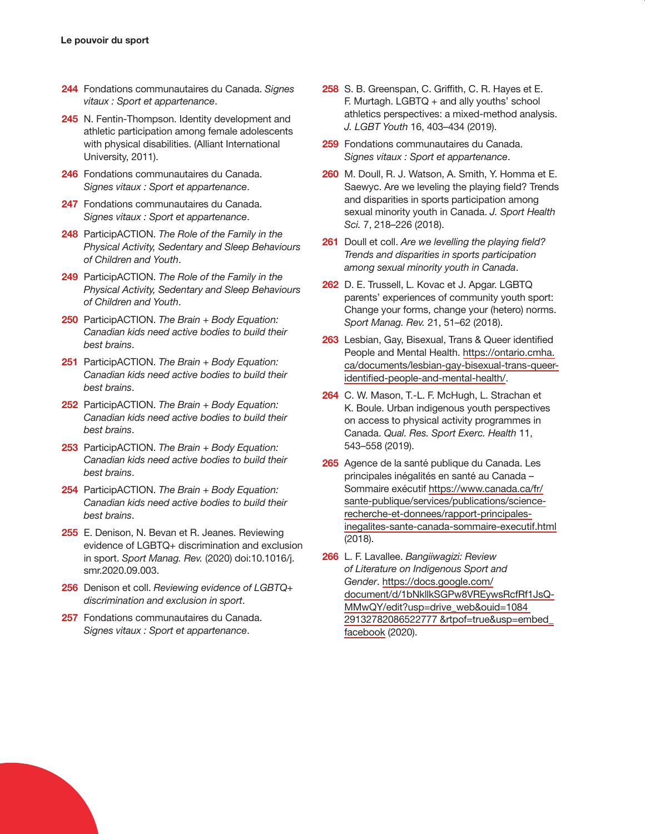- **244** Fondations communautaires du Canada. Signes vitaux : Sport et appartenance.
- **245** N. Fentin-Thompson. Identity development and athletic participation among female adolescents with physical disabilities. (Alliant International University, 2011).
- **246** Fondations communautaires du Canada. Signes vitaux : Sport et appartenance.
- **247** Fondations communautaires du Canada. Signes vitaux : Sport et appartenance.
- **248** ParticipACTION. The Role of the Family in the Physical Activity, Sedentary and Sleep Behaviours of Children and Youth.
- **249** ParticipACTION. The Role of the Family in the Physical Activity, Sedentary and Sleep Behaviours of Children and Youth.
- **250** ParticipACTION. The Brain + Body Equation: Canadian kids need active bodies to build their best brains.
- 251 ParticipACTION. The Brain + Body Equation: Canadian kids need active bodies to build their best brains.
- **252** ParticipACTION. The Brain + Body Equation: Canadian kids need active bodies to build their best brains.
- **253** ParticipACTION. The Brain + Body Equation: Canadian kids need active bodies to build their best brains.
- **254** ParticipACTION. The Brain + Body Equation: Canadian kids need active bodies to build their best brains.
- **255** E. Denison, N. Bevan et R. Jeanes. Reviewing evidence of LGBTQ+ discrimination and exclusion in sport. Sport Manag. Rev. (2020) doi:10.1016/j. smr.2020.09.003.
- **256** Denison et coll. Reviewing evidence of LGBTQ+ discrimination and exclusion in sport.
- **257** Fondations communautaires du Canada. Signes vitaux : Sport et appartenance.
- 258 S. B. Greenspan, C. Griffith, C. R. Hayes et E. F. Murtagh. LGBTQ + and ally youths' school athletics perspectives: a mixed-method analysis. J. LGBT Youth 16, 403–434 (2019).
- **259** Fondations communautaires du Canada. Signes vitaux : Sport et appartenance.
- **260** M. Doull, R. J. Watson, A. Smith, Y. Homma et E. Saewyc. Are we leveling the playing field? Trends and disparities in sports participation among sexual minority youth in Canada. J. Sport Health Sci. 7, 218–226 (2018).
- 261 Doull et coll. Are we levelling the playing field? Trends and disparities in sports participation among sexual minority youth in Canada.
- **262** D. E. Trussell, L. Kovac et J. Apgar. LGBTQ parents' experiences of community youth sport: Change your forms, change your (hetero) norms. Sport Manag. Rev. 21, 51–62 (2018).
- 263 Lesbian, Gay, Bisexual, Trans & Queer identified People and Mental Health. https://ontario.cmha. ca/documents/lesbian-gay-bisexual-trans-queeridentified-people-and-mental-health/.
- **264** C. W. Mason, T.-L. F. McHugh, L. Strachan et K. Boule. Urban indigenous youth perspectives on access to physical activity programmes in Canada. Qual. Res. Sport Exerc. Health 11, 543–558 (2019).
- **265** Agence de la santé publique du Canada. Les principales inégalités en santé au Canada – Sommaire exécutif https://www.canada.ca/fr/ sante-publique/services/publications/sciencerecherche-et-donnees/rapport-principalesinegalites-sante-canada-sommaire-executif.html (2018).
- **266** L. F. Lavallee. Bangiiwagizi: Review of Literature on Indigenous Sport and Gender. https://docs.google.com/ document/d/1bNkllkSGPw8VREywsRcfRf1JsQ-MMwQY/edit?usp=drive\_web&ouid=1084 29132782086522777 &rtpof=true&usp=embed\_ facebook (2020).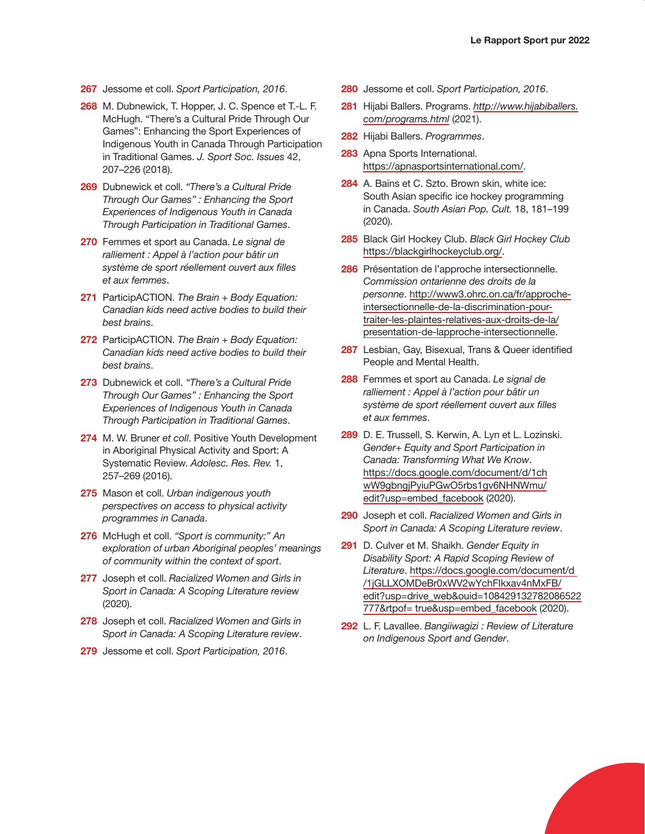- **267** Jessome et coll. Sport Participation, 2016.
- **268** M. Dubnewick, T. Hopper, J. C. Spence et T.-L. F. McHugh. "There's a Cultural Pride Through Our Games": Enhancing the Sport Experiences of Indigenous Youth in Canada Through Participation in Traditional Games. J. Sport Soc. Issues 42, 207–226 (2018).
- **269** Dubnewick et coll. "There's a Cultural Pride Through Our Games" : Enhancing the Sport Experiences of Indigenous Youth in Canada Through Participation in Traditional Games.
- **270** Femmes et sport au Canada. Le signal de ralliement : Appel à l'action pour bâtir un système de sport réellement ouvert aux filles et aux femmes.
- **271** ParticipACTION. The Brain + Body Equation: Canadian kids need active bodies to build their best brains.
- **272** ParticipACTION. The Brain + Body Equation: Canadian kids need active bodies to build their best brains.
- **273** Dubnewick et coll. "There's a Cultural Pride Through Our Games" : Enhancing the Sport Experiences of Indigenous Youth in Canada Through Participation in Traditional Games.
- **274** M. W. Bruner et coll. Positive Youth Development in Aboriginal Physical Activity and Sport: A Systematic Review. Adolesc. Res. Rev. 1, 257–269 (2016).
- **275** Mason et coll. Urban indigenous youth perspectives on access to physical activity programmes in Canada.
- **276** McHugh et coll. "Sport is community:" An exploration of urban Aboriginal peoples' meanings of community within the context of sport.
- 277 Joseph et coll. Racialized Women and Girls in Sport in Canada: A Scoping Literature review (2020).
- 278 Joseph et coll. Racialized Women and Girls in Sport in Canada: A Scoping Literature review.
- **279** Jessome et coll. Sport Participation, 2016.
- **280** Jessome et coll. Sport Participation, 2016.
- **281** Hijabi Ballers. Programs. http://www.hijabiballers. com/programs.html (2021).
- **282** Hijabi Ballers. Programmes.
- **283** Apna Sports International. https://apnasportsinternational.com/.
- **284** A. Bains et C. Szto. Brown skin, white ice: South Asian specific ice hockey programming in Canada. South Asian Pop. Cult. 18, 181–199 (2020).
- **285** Black Girl Hockey Club. Black Girl Hockey Club https://blackgirlhockeyclub.org/.
- **286** Présentation de l'approche intersectionnelle. Commission ontarienne des droits de la personne. http://www3.ohrc.on.ca/fr/approcheintersectionnelle-de-la-discrimination-pourtraiter-les-plaintes-relatives-aux-droits-de-la/ presentation-de-lapproche-intersectionnelle.
- 287 Lesbian, Gay, Bisexual, Trans & Queer identified People and Mental Health.
- **288** Femmes et sport au Canada. Le signal de ralliement : Appel à l'action pour bâtir un système de sport réellement ouvert aux filles et aux femmes.
- **289** D. E. Trussell, S. Kerwin, A. Lyn et L. Lozinski. Gender+ Equity and Sport Participation in Canada: Transforming What We Know. https://docs.google.com/document/d/1ch wW9gbngjPyiuPGwO5rbs1gv6NHNWmu/ edit?usp=embed\_facebook (2020).
- **290** Joseph et coll. Racialized Women and Girls in Sport in Canada: A Scoping Literature review.
- **291** D. Culver et M. Shaikh. Gender Equity in Disability Sport: A Rapid Scoping Review of Literature. https://docs.google.com/document/d /1jGLLXOMDeBr0xWV2wYchFIkxav4nMxFB/ edit?usp=drive\_web&ouid=108429132782086522 777&rtpof= true&usp=embed\_facebook (2020).
- **292** L. F. Lavallee. Bangiiwagizi : Review of Literature on Indigenous Sport and Gender.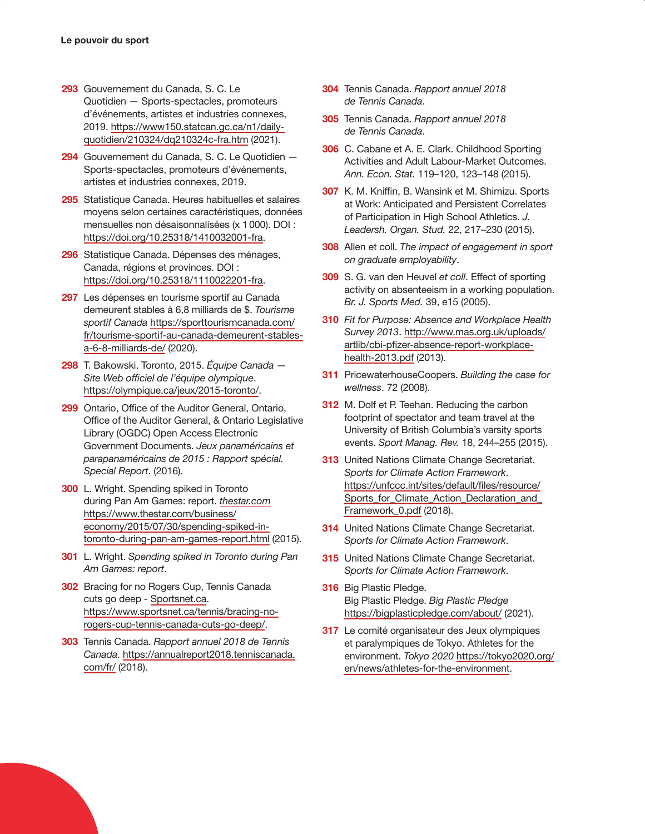- **293** Gouvernement du Canada, S. C. Le Quotidien — Sports-spectacles, promoteurs d'événements, artistes et industries connexes, 2019. https://www150.statcan.gc.ca/n1/dailyquotidien/210324/dq210324c-fra.htm (2021).
- **294** Gouvernement du Canada, S. C. Le Quotidien Sports-spectacles, promoteurs d'événements, artistes et industries connexes, 2019.
- **295** Statistique Canada. Heures habituelles et salaires moyens selon certaines caractéristiques, données mensuelles non désaisonnalisées (x 1 000). DOI : https://doi.org/10.25318/1410032001-fra.
- **296** Statistique Canada. Dépenses des ménages, Canada, régions et provinces. DOI : https://doi.org/10.25318/1110022201-fra.
- **297** Les dépenses en tourisme sportif au Canada demeurent stables à 6,8 milliards de \$. Tourisme sportif Canada https://sporttourismcanada.com/ fr/tourisme-sportif-au-canada-demeurent-stablesa-6-8-milliards-de/ (2020).
- **298** T. Bakowski. Toronto, 2015. Équipe Canada Site Web officiel de l'équipe olympique. https://olympique.ca/jeux/2015-toronto/.
- **299** Ontario, Office of the Auditor General, Ontario, Office of the Auditor General, & Ontario Legislative Library (OGDC) Open Access Electronic Government Documents. Jeux panaméricains et parapanaméricains de 2015 : Rapport spécial. Special Report. (2016).
- **300** L. Wright. Spending spiked in Toronto during Pan Am Games: report. thestar.com https://www.thestar.com/business/ economy/2015/07/30/spending-spiked-intoronto-during-pan-am-games-report.html (2015).
- **301** L. Wright. Spending spiked in Toronto during Pan Am Games: report.
- **302** Bracing for no Rogers Cup, Tennis Canada cuts go deep - Sportsnet.ca. https://www.sportsnet.ca/tennis/bracing-norogers-cup-tennis-canada-cuts-go-deep/.
- **303** Tennis Canada. Rapport annuel 2018 de Tennis Canada. https://annualreport2018.tenniscanada. com/fr/ (2018).
- **304** Tennis Canada. Rapport annuel 2018 de Tennis Canada.
- **305** Tennis Canada. Rapport annuel 2018 de Tennis Canada.
- **306** C. Cabane et A. E. Clark. Childhood Sporting Activities and Adult Labour-Market Outcomes. Ann. Econ. Stat. 119–120, 123–148 (2015).
- **307** K. M. Kniffin, B. Wansink et M. Shimizu. Sports at Work: Anticipated and Persistent Correlates of Participation in High School Athletics. J. Leadersh. Organ. Stud. 22, 217–230 (2015).
- **308** Allen et coll. The impact of engagement in sport on graduate employability.
- **309** S. G. van den Heuvel et coll. Effect of sporting activity on absenteeism in a working population. Br. J. Sports Med. 39, e15 (2005).
- **310** Fit for Purpose: Absence and Workplace Health Survey 2013. http://www.mas.org.uk/uploads/ artlib/cbi-pfizer-absence-report-workplacehealth-2013.pdf (2013).
- **311** PricewaterhouseCoopers. Building the case for wellness. 72 (2008).
- **312** M. Dolf et P. Teehan. Reducing the carbon footprint of spectator and team travel at the University of British Columbia's varsity sports events. Sport Manag. Rev. 18, 244–255 (2015).
- **313** United Nations Climate Change Secretariat. Sports for Climate Action Framework. https://unfccc.int/sites/default/files/resource/ Sports\_for\_Climate\_Action\_Declaration\_and\_ Framework\_0.pdf (2018).
- **314** United Nations Climate Change Secretariat. Sports for Climate Action Framework.
- **315** United Nations Climate Change Secretariat. Sports for Climate Action Framework.
- **316** Big Plastic Pledge. Big Plastic Pledge. Big Plastic Pledge https://bigplasticpledge.com/about/ (2021).
- **317** Le comité organisateur des Jeux olympiques et paralympiques de Tokyo. Athletes for the environment. Tokyo 2020 https://tokyo2020.org/ en/news/athletes-for-the-environment.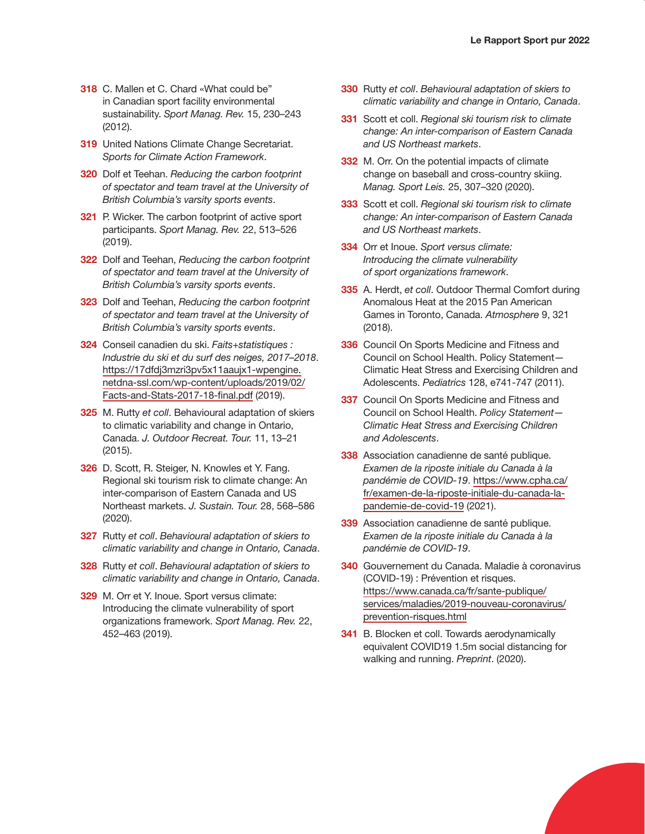- **318** C. Mallen et C. Chard «What could be" in Canadian sport facility environmental sustainability. Sport Manag. Rev. 15, 230–243 (2012).
- **319** United Nations Climate Change Secretariat. Sports for Climate Action Framework.
- **320** Dolf et Teehan. Reducing the carbon footprint of spectator and team travel at the University of British Columbia's varsity sports events.
- **321** P. Wicker. The carbon footprint of active sport participants. Sport Manag. Rev. 22, 513–526 (2019).
- **322** Dolf and Teehan, Reducing the carbon footprint of spectator and team travel at the University of British Columbia's varsity sports events.
- **323** Dolf and Teehan, Reducing the carbon footprint of spectator and team travel at the University of British Columbia's varsity sports events.
- **324** Conseil canadien du ski. Faits+statistiques : Industrie du ski et du surf des neiges, 2017–2018. https://17dfdj3mzri3pv5x11aaujx1-wpengine. netdna-ssl.com/wp-content/uploads/2019/02/ Facts-and-Stats-2017-18-final.pdf (2019).
- **325** M. Rutty et coll. Behavioural adaptation of skiers to climatic variability and change in Ontario, Canada. J. Outdoor Recreat. Tour. 11, 13–21 (2015).
- **326** D. Scott, R. Steiger, N. Knowles et Y. Fang. Regional ski tourism risk to climate change: An inter-comparison of Eastern Canada and US Northeast markets. J. Sustain. Tour. 28, 568–586 (2020).
- **327** Rutty et coll. Behavioural adaptation of skiers to climatic variability and change in Ontario, Canada.
- **328** Rutty et coll. Behavioural adaptation of skiers to climatic variability and change in Ontario, Canada.
- **329** M. Orr et Y. Inoue. Sport versus climate: Introducing the climate vulnerability of sport organizations framework. Sport Manag. Rev. 22, 452–463 (2019).
- **330** Rutty et coll. Behavioural adaptation of skiers to climatic variability and change in Ontario, Canada.
- **331** Scott et coll. Regional ski tourism risk to climate change: An inter-comparison of Eastern Canada and US Northeast markets.
- **332** M. Orr. On the potential impacts of climate change on baseball and cross-country skiing. Manag. Sport Leis. 25, 307–320 (2020).
- **333** Scott et coll. Regional ski tourism risk to climate change: An inter-comparison of Eastern Canada and US Northeast markets.
- **334** Orr et Inoue. Sport versus climate: Introducing the climate vulnerability of sport organizations framework.
- **335** A. Herdt, et coll. Outdoor Thermal Comfort during Anomalous Heat at the 2015 Pan American Games in Toronto, Canada. Atmosphere 9, 321 (2018).
- **336** Council On Sports Medicine and Fitness and Council on School Health. Policy Statement— Climatic Heat Stress and Exercising Children and Adolescents. Pediatrics 128, e741-747 (2011).
- **337** Council On Sports Medicine and Fitness and Council on School Health. Policy Statement— Climatic Heat Stress and Exercising Children and Adolescents.
- **338** Association canadienne de santé publique. Examen de la riposte initiale du Canada à la pandémie de COVID-19. https://www.cpha.ca/ fr/examen-de-la-riposte-initiale-du-canada-lapandemie-de-covid-19 (2021).
- **339** Association canadienne de santé publique. Examen de la riposte initiale du Canada à la pandémie de COVID-19.
- **340** Gouvernement du Canada. Maladie à coronavirus (COVID-19) : Prévention et risques. https://www.canada.ca/fr/sante-publique/ services/maladies/2019-nouveau-coronavirus/ prevention-risques.html
- **341** B. Blocken et coll. Towards aerodynamically equivalent COVID19 1.5m social distancing for walking and running. Preprint. (2020).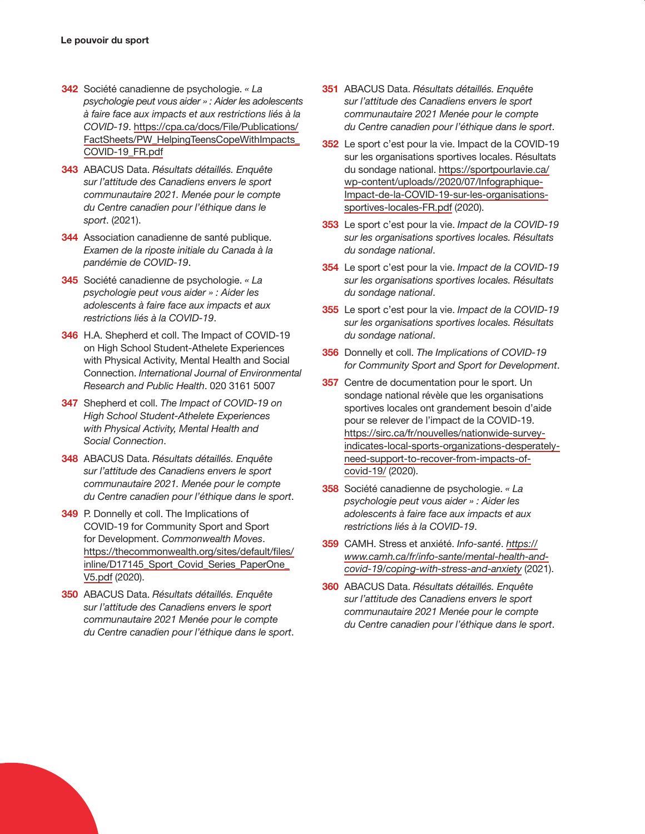- **342** Société canadienne de psychologie. « La psychologie peut vous aider » : Aider les adolescents à faire face aux impacts et aux restrictions liés à la COVID-19. https://cpa.ca/docs/File/Publications/ FactSheets/PW\_HelpingTeensCopeWithImpacts\_ COVID-19\_FR.pdf
- **343** ABACUS Data. Résultats détaillés. Enquête sur l'attitude des Canadiens envers le sport communautaire 2021. Menée pour le compte du Centre canadien pour l'éthique dans le sport. (2021).
- **344** Association canadienne de santé publique. Examen de la riposte initiale du Canada à la pandémie de COVID-19.
- **345** Société canadienne de psychologie. « La psychologie peut vous aider » : Aider les adolescents à faire face aux impacts et aux restrictions liés à la COVID-19.
- **346** H.A. Shepherd et coll. The Impact of COVID-19 on High School Student-Athelete Experiences with Physical Activity, Mental Health and Social Connection. International Journal of Environmental Research and Public Health. 020 3161 5007
- **347** Shepherd et coll. The Impact of COVID-19 on High School Student-Athelete Experiences with Physical Activity, Mental Health and Social Connection.
- **348** ABACUS Data. Résultats détaillés. Enquête sur l'attitude des Canadiens envers le sport communautaire 2021. Menée pour le compte du Centre canadien pour l'éthique dans le sport.
- **349** P. Donnelly et coll. The Implications of COVID-19 for Community Sport and Sport for Development. Commonwealth Moves. https://thecommonwealth.org/sites/default/files/ inline/D17145\_Sport\_Covid\_Series\_PaperOne V5.pdf (2020).
- **350** ABACUS Data. Résultats détaillés. Enquête sur l'attitude des Canadiens envers le sport communautaire 2021 Menée pour le compte du Centre canadien pour l'éthique dans le sport.
- **351** ABACUS Data, Résultats détaillés. Enquête sur l'attitude des Canadiens envers le sport communautaire 2021 Menée pour le compte du Centre canadien pour l'éthique dans le sport.
- **352** Le sport c'est pour la vie. Impact de la COVID-19 sur les organisations sportives locales. Résultats du sondage national. https://sportpourlavie.ca/ wp-content/uploads//2020/07/Infographique-Impact-de-la-COVID-19-sur-les-organisationssportives-locales-FR.pdf (2020).
- **353** Le sport c'est pour la vie. Impact de la COVID-19 sur les organisations sportives locales. Résultats du sondage national.
- **354** Le sport c'est pour la vie. Impact de la COVID-19 sur les organisations sportives locales. Résultats du sondage national.
- **355** Le sport c'est pour la vie. Impact de la COVID-19 sur les organisations sportives locales. Résultats du sondage national.
- **356** Donnelly et coll. The Implications of COVID-19 for Community Sport and Sport for Development.
- **357** Centre de documentation pour le sport. Un sondage national révèle que les organisations sportives locales ont grandement besoin d'aide pour se relever de l'impact de la COVID-19. https://sirc.ca/fr/nouvelles/nationwide-surveyindicates-local-sports-organizations-desperatelyneed-support-to-recover-from-impacts-ofcovid-19/ (2020).
- **358** Société canadienne de psychologie. « La psychologie peut vous aider » : Aider les adolescents à faire face aux impacts et aux restrictions liés à la COVID-19.
- **359** CAMH. Stress et anxiété. Info-santé. https:// www.camh.ca/fr/info-sante/mental-health-andcovid-19/coping-with-stress-and-anxiety (2021).
- **360** ABACUS Data. Résultats détaillés. Enquête sur l'attitude des Canadiens envers le sport communautaire 2021 Menée pour le compte du Centre canadien pour l'éthique dans le sport.